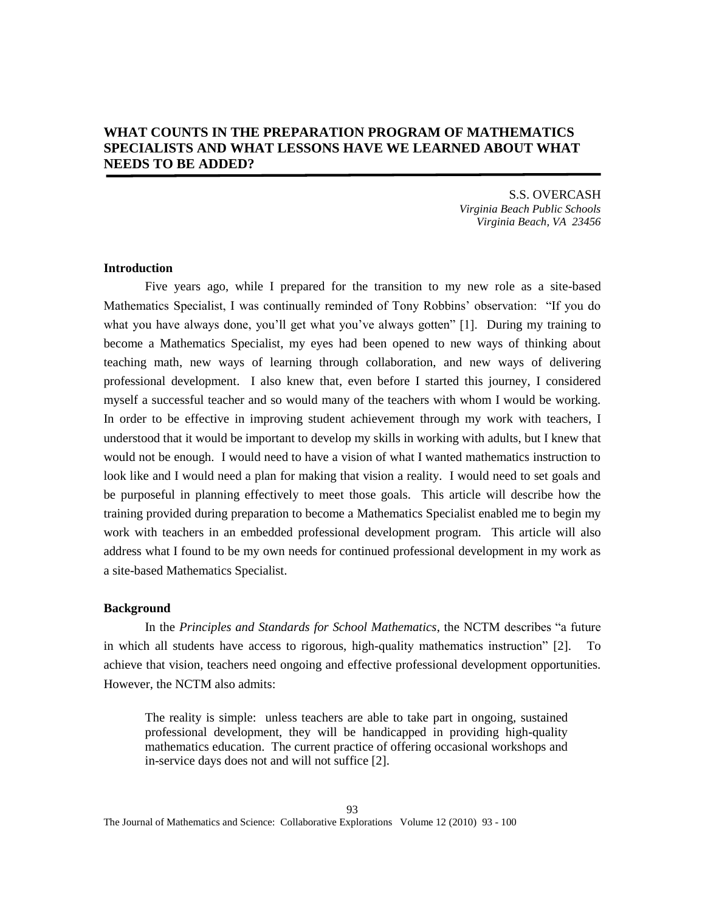# **WHAT COUNTS IN THE PREPARATION PROGRAM OF MATHEMATICS SPECIALISTS AND WHAT LESSONS HAVE WE LEARNED ABOUT WHAT NEEDS TO BE ADDED?**

S.S. OVERCASH *Virginia Beach Public Schools Virginia Beach, VA 23456*

## **Introduction**

Five years ago, while I prepared for the transition to my new role as a site-based Mathematics Specialist, I was continually reminded of Tony Robbins' observation: "If you do what you have always done, you'll get what you've always gotten" [1]. During my training to become a Mathematics Specialist, my eyes had been opened to new ways of thinking about teaching math, new ways of learning through collaboration, and new ways of delivering professional development. I also knew that, even before I started this journey, I considered myself a successful teacher and so would many of the teachers with whom I would be working. In order to be effective in improving student achievement through my work with teachers, I understood that it would be important to develop my skills in working with adults, but I knew that would not be enough. I would need to have a vision of what I wanted mathematics instruction to look like and I would need a plan for making that vision a reality. I would need to set goals and be purposeful in planning effectively to meet those goals. This article will describe how the training provided during preparation to become a Mathematics Specialist enabled me to begin my work with teachers in an embedded professional development program. This article will also address what I found to be my own needs for continued professional development in my work as a site-based Mathematics Specialist.

### **Background**

In the *Principles and Standards for School Mathematics*, the NCTM describes "a future in which all students have access to rigorous, high-quality mathematics instruction" [2]. achieve that vision, teachers need ongoing and effective professional development opportunities. However, the NCTM also admits:

The reality is simple: unless teachers are able to take part in ongoing, sustained professional development, they will be handicapped in providing high-quality mathematics education. The current practice of offering occasional workshops and in-service days does not and will not suffice [2].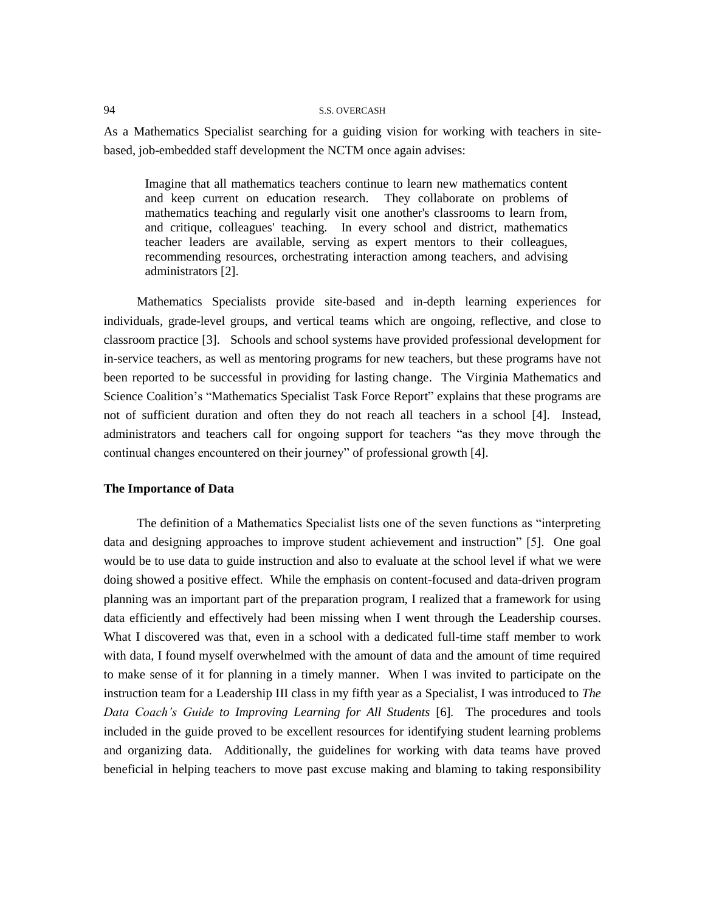As a Mathematics Specialist searching for a guiding vision for working with teachers in sitebased, job-embedded staff development the NCTM once again advises:

Imagine that all mathematics teachers continue to learn new mathematics content and keep current on education research. They collaborate on problems of mathematics teaching and regularly visit one another's classrooms to learn from, and critique, colleagues' teaching. In every school and district, mathematics teacher leaders are available, serving as expert mentors to their colleagues, recommending resources, orchestrating interaction among teachers, and advising administrators [2].

Mathematics Specialists provide site-based and in-depth learning experiences for individuals, grade-level groups, and vertical teams which are ongoing, reflective, and close to classroom practice [3]. Schools and school systems have provided professional development for in-service teachers, as well as mentoring programs for new teachers, but these programs have not been reported to be successful in providing for lasting change. The Virginia Mathematics and Science Coalition's "Mathematics Specialist Task Force Report" explains that these programs are not of sufficient duration and often they do not reach all teachers in a school [4]. Instead, administrators and teachers call for ongoing support for teachers "as they move through the continual changes encountered on their journey" of professional growth [4].

### **The Importance of Data**

The definition of a Mathematics Specialist lists one of the seven functions as "interpreting data and designing approaches to improve student achievement and instruction" [5]. One goal would be to use data to guide instruction and also to evaluate at the school level if what we were doing showed a positive effect. While the emphasis on content-focused and data-driven program planning was an important part of the preparation program, I realized that a framework for using data efficiently and effectively had been missing when I went through the Leadership courses. What I discovered was that, even in a school with a dedicated full-time staff member to work with data, I found myself overwhelmed with the amount of data and the amount of time required to make sense of it for planning in a timely manner. When I was invited to participate on the instruction team for a Leadership III class in my fifth year as a Specialist, I was introduced to *The Data Coach's Guide to Improving Learning for All Students* [6]*.* The procedures and tools included in the guide proved to be excellent resources for identifying student learning problems and organizing data. Additionally, the guidelines for working with data teams have proved beneficial in helping teachers to move past excuse making and blaming to taking responsibility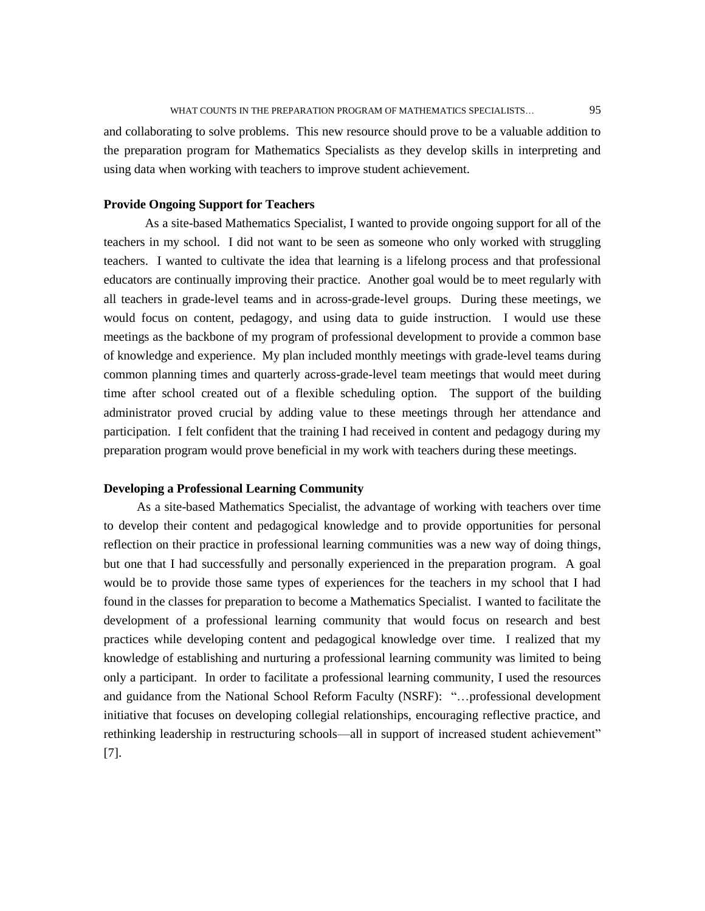and collaborating to solve problems. This new resource should prove to be a valuable addition to the preparation program for Mathematics Specialists as they develop skills in interpreting and using data when working with teachers to improve student achievement.

### **Provide Ongoing Support for Teachers**

As a site-based Mathematics Specialist, I wanted to provide ongoing support for all of the teachers in my school. I did not want to be seen as someone who only worked with struggling teachers. I wanted to cultivate the idea that learning is a lifelong process and that professional educators are continually improving their practice. Another goal would be to meet regularly with all teachers in grade-level teams and in across-grade-level groups. During these meetings, we would focus on content, pedagogy, and using data to guide instruction. I would use these meetings as the backbone of my program of professional development to provide a common base of knowledge and experience. My plan included monthly meetings with grade-level teams during common planning times and quarterly across-grade-level team meetings that would meet during time after school created out of a flexible scheduling option. The support of the building administrator proved crucial by adding value to these meetings through her attendance and participation. I felt confident that the training I had received in content and pedagogy during my preparation program would prove beneficial in my work with teachers during these meetings.

# **Developing a Professional Learning Community**

As a site-based Mathematics Specialist, the advantage of working with teachers over time to develop their content and pedagogical knowledge and to provide opportunities for personal reflection on their practice in professional learning communities was a new way of doing things, but one that I had successfully and personally experienced in the preparation program. A goal would be to provide those same types of experiences for the teachers in my school that I had found in the classes for preparation to become a Mathematics Specialist. I wanted to facilitate the development of a professional learning community that would focus on research and best practices while developing content and pedagogical knowledge over time. I realized that my knowledge of establishing and nurturing a professional learning community was limited to being only a participant. In order to facilitate a professional learning community, I used the resources and guidance from the National School Reform Faculty (NSRF): "…professional development initiative that focuses on developing collegial relationships, encouraging reflective practice, and rethinking leadership in restructuring schools—all in support of increased student achievement" [7].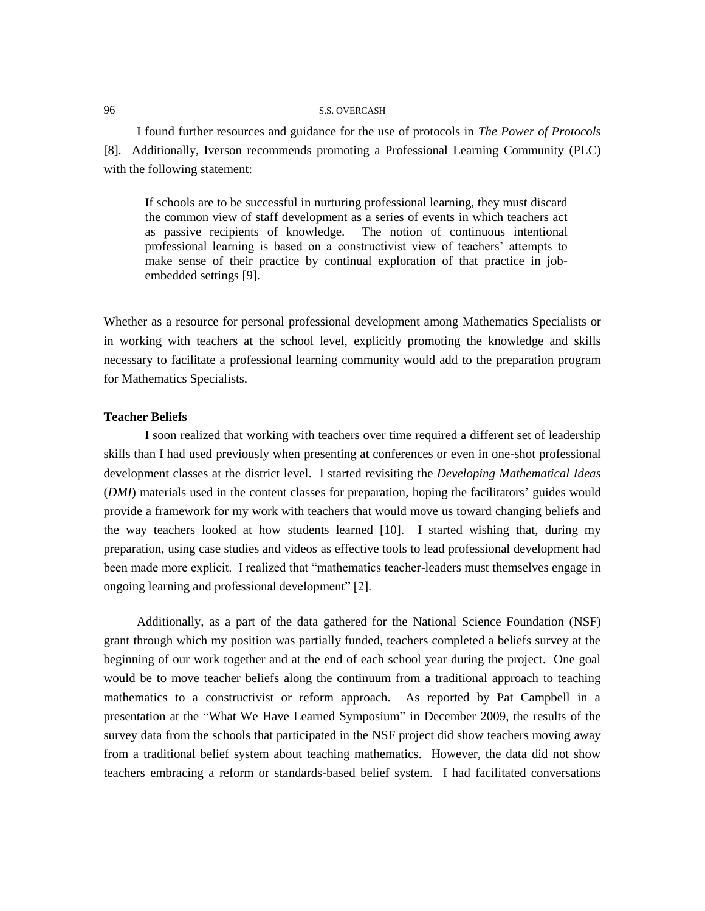I found further resources and guidance for the use of protocols in *The Power of Protocols* [8]*.* Additionally, Iverson recommends promoting a Professional Learning Community (PLC) with the following statement:

If schools are to be successful in nurturing professional learning, they must discard the common view of staff development as a series of events in which teachers act as passive recipients of knowledge. The notion of continuous intentional professional learning is based on a constructivist view of teachers' attempts to make sense of their practice by continual exploration of that practice in jobembedded settings [9].

Whether as a resource for personal professional development among Mathematics Specialists or in working with teachers at the school level, explicitly promoting the knowledge and skills necessary to facilitate a professional learning community would add to the preparation program for Mathematics Specialists.

# **Teacher Beliefs**

I soon realized that working with teachers over time required a different set of leadership skills than I had used previously when presenting at conferences or even in one-shot professional development classes at the district level. I started revisiting the *Developing Mathematical Ideas* (*DMI*) materials used in the content classes for preparation, hoping the facilitators' guides would provide a framework for my work with teachers that would move us toward changing beliefs and the way teachers looked at how students learned [10]. I started wishing that, during my preparation, using case studies and videos as effective tools to lead professional development had been made more explicit. I realized that "mathematics teacher-leaders must themselves engage in ongoing learning and professional development" [2].

Additionally, as a part of the data gathered for the National Science Foundation (NSF) grant through which my position was partially funded, teachers completed a beliefs survey at the beginning of our work together and at the end of each school year during the project. One goal would be to move teacher beliefs along the continuum from a traditional approach to teaching mathematics to a constructivist or reform approach. As reported by Pat Campbell in a presentation at the "What We Have Learned Symposium" in December 2009, the results of the survey data from the schools that participated in the NSF project did show teachers moving away from a traditional belief system about teaching mathematics. However, the data did not show teachers embracing a reform or standards-based belief system. I had facilitated conversations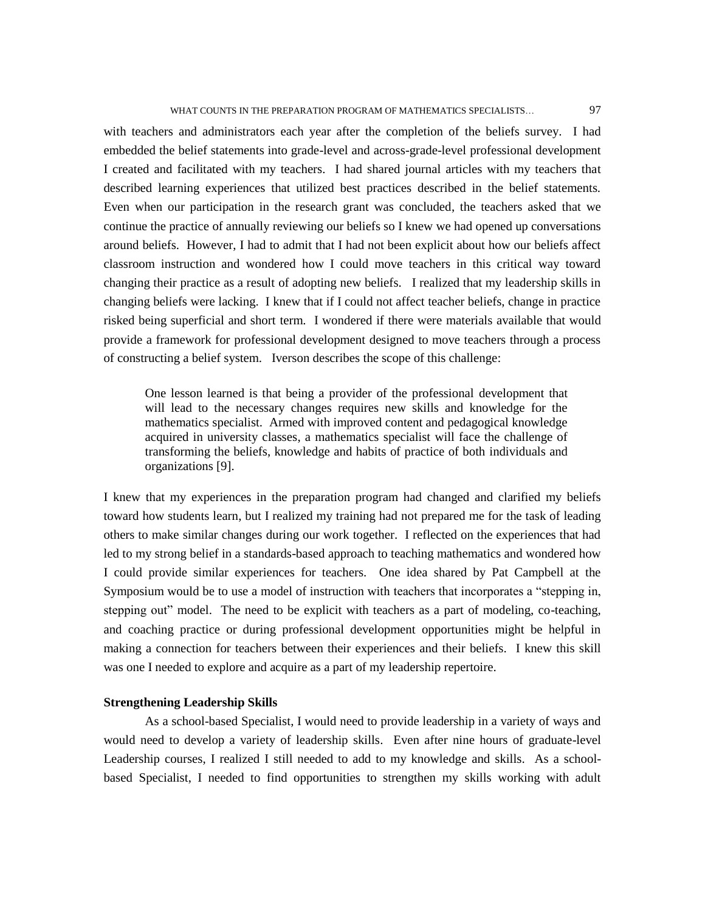### WHAT COUNTS IN THE PREPARATION PROGRAM OF MATHEMATICS SPECIALISTS... 97

with teachers and administrators each year after the completion of the beliefs survey. I had embedded the belief statements into grade-level and across-grade-level professional development I created and facilitated with my teachers. I had shared journal articles with my teachers that described learning experiences that utilized best practices described in the belief statements. Even when our participation in the research grant was concluded, the teachers asked that we continue the practice of annually reviewing our beliefs so I knew we had opened up conversations around beliefs. However, I had to admit that I had not been explicit about how our beliefs affect classroom instruction and wondered how I could move teachers in this critical way toward changing their practice as a result of adopting new beliefs. I realized that my leadership skills in changing beliefs were lacking. I knew that if I could not affect teacher beliefs, change in practice risked being superficial and short term. I wondered if there were materials available that would provide a framework for professional development designed to move teachers through a process of constructing a belief system. Iverson describes the scope of this challenge:

One lesson learned is that being a provider of the professional development that will lead to the necessary changes requires new skills and knowledge for the mathematics specialist. Armed with improved content and pedagogical knowledge acquired in university classes, a mathematics specialist will face the challenge of transforming the beliefs, knowledge and habits of practice of both individuals and organizations [9].

I knew that my experiences in the preparation program had changed and clarified my beliefs toward how students learn, but I realized my training had not prepared me for the task of leading others to make similar changes during our work together. I reflected on the experiences that had led to my strong belief in a standards-based approach to teaching mathematics and wondered how I could provide similar experiences for teachers. One idea shared by Pat Campbell at the Symposium would be to use a model of instruction with teachers that incorporates a "stepping in, stepping out" model. The need to be explicit with teachers as a part of modeling, co-teaching, and coaching practice or during professional development opportunities might be helpful in making a connection for teachers between their experiences and their beliefs. I knew this skill was one I needed to explore and acquire as a part of my leadership repertoire.

### **Strengthening Leadership Skills**

As a school-based Specialist, I would need to provide leadership in a variety of ways and would need to develop a variety of leadership skills. Even after nine hours of graduate-level Leadership courses, I realized I still needed to add to my knowledge and skills. As a schoolbased Specialist, I needed to find opportunities to strengthen my skills working with adult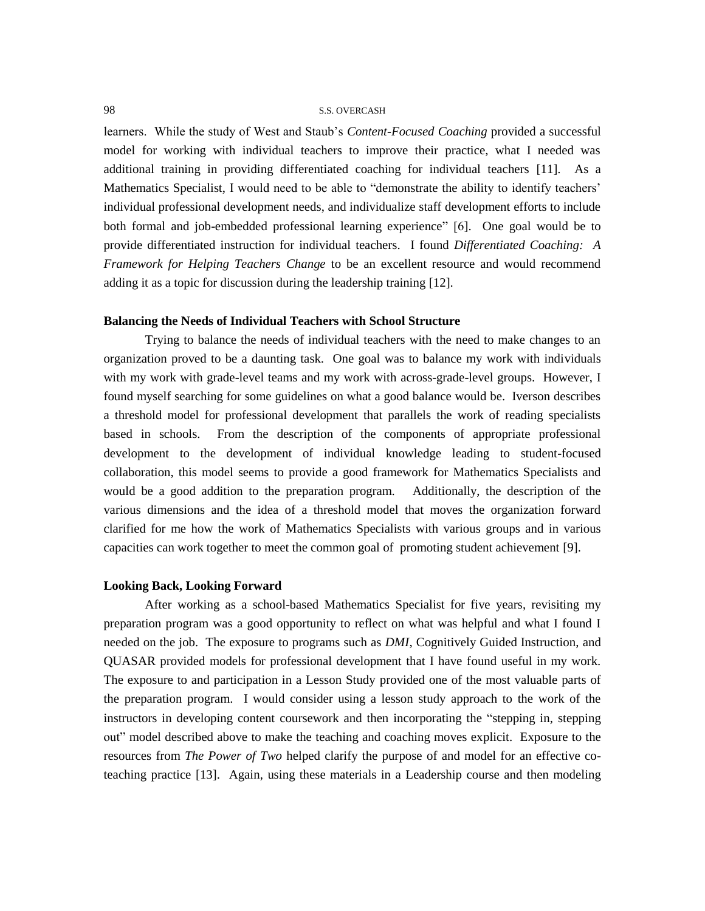learners. While the study of West and Staub's *Content-Focused Coaching* provided a successful model for working with individual teachers to improve their practice, what I needed was additional training in providing differentiated coaching for individual teachers [11]. As a Mathematics Specialist, I would need to be able to "demonstrate the ability to identify teachers' individual professional development needs, and individualize staff development efforts to include both formal and job-embedded professional learning experience" [6]. One goal would be to provide differentiated instruction for individual teachers. I found *Differentiated Coaching: A Framework for Helping Teachers Change* to be an excellent resource and would recommend adding it as a topic for discussion during the leadership training [12].

### **Balancing the Needs of Individual Teachers with School Structure**

Trying to balance the needs of individual teachers with the need to make changes to an organization proved to be a daunting task. One goal was to balance my work with individuals with my work with grade-level teams and my work with across-grade-level groups. However, I found myself searching for some guidelines on what a good balance would be. Iverson describes a threshold model for professional development that parallels the work of reading specialists based in schools. From the description of the components of appropriate professional development to the development of individual knowledge leading to student-focused collaboration, this model seems to provide a good framework for Mathematics Specialists and would be a good addition to the preparation program. Additionally, the description of the various dimensions and the idea of a threshold model that moves the organization forward clarified for me how the work of Mathematics Specialists with various groups and in various capacities can work together to meet the common goal of promoting student achievement [9].

### **Looking Back, Looking Forward**

After working as a school-based Mathematics Specialist for five years, revisiting my preparation program was a good opportunity to reflect on what was helpful and what I found I needed on the job. The exposure to programs such as *DMI*, Cognitively Guided Instruction, and QUASAR provided models for professional development that I have found useful in my work. The exposure to and participation in a Lesson Study provided one of the most valuable parts of the preparation program. I would consider using a lesson study approach to the work of the instructors in developing content coursework and then incorporating the "stepping in, stepping out" model described above to make the teaching and coaching moves explicit. Exposure to the resources from *The Power of Two* helped clarify the purpose of and model for an effective coteaching practice [13]. Again, using these materials in a Leadership course and then modeling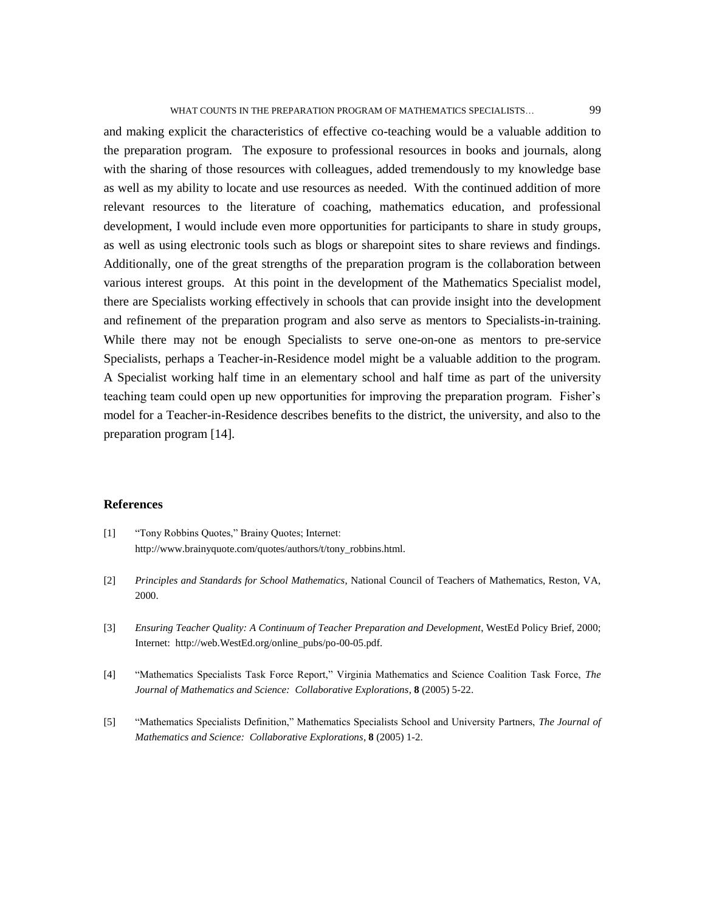and making explicit the characteristics of effective co-teaching would be a valuable addition to the preparation program. The exposure to professional resources in books and journals, along with the sharing of those resources with colleagues, added tremendously to my knowledge base as well as my ability to locate and use resources as needed. With the continued addition of more relevant resources to the literature of coaching, mathematics education, and professional development, I would include even more opportunities for participants to share in study groups, as well as using electronic tools such as blogs or sharepoint sites to share reviews and findings. Additionally, one of the great strengths of the preparation program is the collaboration between various interest groups. At this point in the development of the Mathematics Specialist model, there are Specialists working effectively in schools that can provide insight into the development and refinement of the preparation program and also serve as mentors to Specialists-in-training. While there may not be enough Specialists to serve one-on-one as mentors to pre-service Specialists, perhaps a Teacher-in-Residence model might be a valuable addition to the program. A Specialist working half time in an elementary school and half time as part of the university teaching team could open up new opportunities for improving the preparation program. Fisher's model for a Teacher-in-Residence describes benefits to the district, the university, and also to the preparation program [14].

#### **References**

- [1] "Tony Robbins Quotes," Brainy Quotes; Internet: http://www.brainyquote.com/quotes/authors/t/tony\_robbins.html.
- [2] *Principles and Standards for School Mathematics*, National Council of Teachers of Mathematics, Reston, VA, 2000.
- [3] *Ensuring Teacher Quality: A Continuum of Teacher Preparation and Development*, WestEd Policy Brief, 2000; Internet: http://web.WestEd.org/online\_pubs/po-00-05.pdf.
- [4] "Mathematics Specialists Task Force Report," Virginia Mathematics and Science Coalition Task Force, *The Journal of Mathematics and Science: Collaborative Explorations*, **8** (2005) 5-22.
- [5] "Mathematics Specialists Definition," Mathematics Specialists School and University Partners, *The Journal of Mathematics and Science: Collaborative Explorations*, **8** (2005) 1-2.